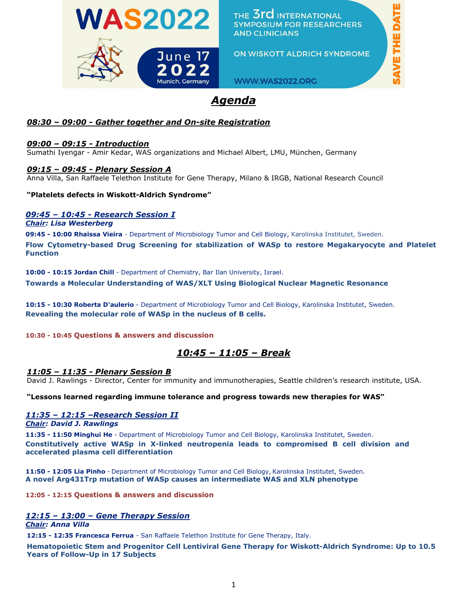

THE 3rd INTERNATIONAL **SYMPOSIUM FOR RESEARCHERS AND CLINICIANS** 

ON WISKOTT ALDRICH SYNDROME

WWW.WAS2022.ORG

# *Agenda*

## *08:30 – 09:00 - Gather together and On-site Registration*

#### *09:00 – 09:15 - Introduction*

Sumathi Iyengar - Amir Kedar, WAS organizations and Michael Albert, LMU, München, Germany

#### *09:15 – 09:45 - Plenary Session A*

Anna Villa, San Raffaele Telethon Institute for Gene Therapy, Milano & IRGB, National Research Council

#### **"Platelets defects in Wiskott-Aldrich Syndrome"**

### *09:45 – 10:45 - Research Session I*

#### *Chair: Lisa Westerberg*

**09:45 - 10:00 Rhaissa Vieira** - Department of Microbiology Tumor and Cell Biology, Karolinska Institutet, Sweden.

**Flow Cytometry-based Drug Screening for stabilization of WASp to restore Megakaryocyte and Platelet Function**

**10:00 - 10:15 Jordan Chill** - Department of Chemistry, Bar Ilan University, Israel. **Towards a Molecular Understanding of WAS/XLT Using Biological Nuclear Magnetic Resonance**

**10:15 - 10:30 Roberta D'aulerio** - Department of Microbiology Tumor and Cell Biology, Karolinska Institutet, Sweden. **Revealing the molecular role of WASp in the nucleus of B cells.**

**10:30 - 10:45 Questions & answers and discussion** 

## *10:45 – 11:05 – Break*

#### *11:05 – 11:35 - Plenary Session B*

David J. Rawlings - Director, Center for immunity and immunotherapies, Seattle children's research institute, USA.

**"Lessons learned regarding immune tolerance and progress towards new therapies for WAS"**

#### *11:35 – 12:15 –Research Session II*

*Chair: David J. Rawlings*

**11:35 - 11:50 Minghui He** - Department of Microbiology Tumor and Cell Biology, Karolinska Institutet, Sweden. **Constitutively active WASp in X-linked neutropenia leads to compromised B cell division and accelerated plasma cell differentiation**

**11:50 - 12:05 Lia Pinho** - Department of Microbiology Tumor and Cell Biology, Karolinska Institutet, Sweden. **A novel Arg431Trp mutation of WASp causes an intermediate WAS and XLN phenotype** 

**12:05 - 12:15 Questions & answers and discussion**

### *12:15 – 13:00 – Gene Therapy Session*

#### *Chair: Anna Villa*

**12:15 - 12:35 Francesca Ferrua** - San Raffaele Telethon Institute for Gene Therapy, Italy.

**Hematopoietic Stem and Progenitor Cell Lentiviral Gene Therapy for Wiskott-Aldrich Syndrome: Up to 10.5 Years of Follow-Up in 17 Subjects**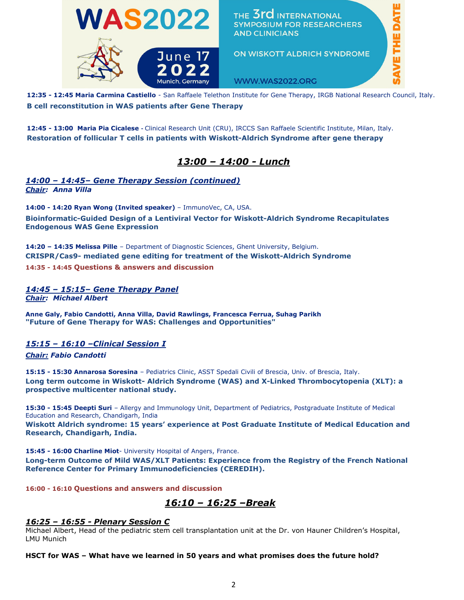

**12:35 - 12:45 Maria Carmina Castiello** - San Raffaele Telethon Institute for Gene Therapy, IRGB National Research Council, Italy. **B cell reconstitution in WAS patients after Gene Therapy**

**12:45 - 13:00 Maria Pia Cicalese -** Clinical Research Unit (CRU), IRCCS San Raffaele Scientific Institute, Milan, Italy. **Restoration of follicular T cells in patients with Wiskott-Aldrich Syndrome after gene therapy**

## *13:00 – 14:00 - Lunch*

#### *14:00 – 14:45– Gene Therapy Session (continued) Chair: Anna Villa*

**14:00 - 14:20 Ryan Wong (Invited speaker)** – ImmunoVec, CA, USA. **Bioinformatic-Guided Design of a Lentiviral Vector for Wiskott-Aldrich Syndrome Recapitulates Endogenous WAS Gene Expression**

**14:20 – 14:35 Melissa Pille** – Department of Diagnostic Sciences, Ghent University, Belgium. **CRISPR/Cas9- mediated gene editing for treatment of the Wiskott-Aldrich Syndrome 14:35 - 14:45 Questions & answers and discussion**

*14:45 – 15:15– Gene Therapy Panel Chair: Michael Albert*

**Anne Galy, Fabio Candotti, Anna Villa, David Rawlings, Francesca Ferrua, Suhag Parikh "Future of Gene Therapy for WAS: Challenges and Opportunities"** 

*15:15 – 16:10 –Clinical Session I* 

#### *Chair: Fabio Candotti*

**15:15 - 15:30 Annarosa Soresina** – Pediatrics Clinic, ASST Spedali Civili of Brescia, Univ. of Brescia, Italy. **Long term outcome in Wiskott- Aldrich Syndrome (WAS) and X-Linked Thrombocytopenia (XLT): a prospective multicenter national study.** 

**15:30 - 15:45 Deepti Suri** – Allergy and Immunology Unit, Department of Pediatrics, Postgraduate Institute of Medical Education and Research, Chandigarh, India

**Wiskott Aldrich syndrome: 15 years' experience at Post Graduate Institute of Medical Education and Research, Chandigarh, India.**

**15:45 - 16:00 Charline Miot**- University Hospital of Angers, France.

**Long-term Outcome of Mild WAS/XLT Patients: Experience from the Registry of the French National Reference Center for Primary Immunodeficiencies (CEREDIH).**

**16:00 - 16:10 Questions and answers and discussion**

*16:10 – 16:25 –Break*

#### *16:25 – 16:55 - Plenary Session C*

Michael Albert, Head of the pediatric stem cell transplantation unit at the Dr. von Hauner Children's Hospital, LMU Munich

**HSCT for WAS – What have we learned in 50 years and what promises does the future hold?**